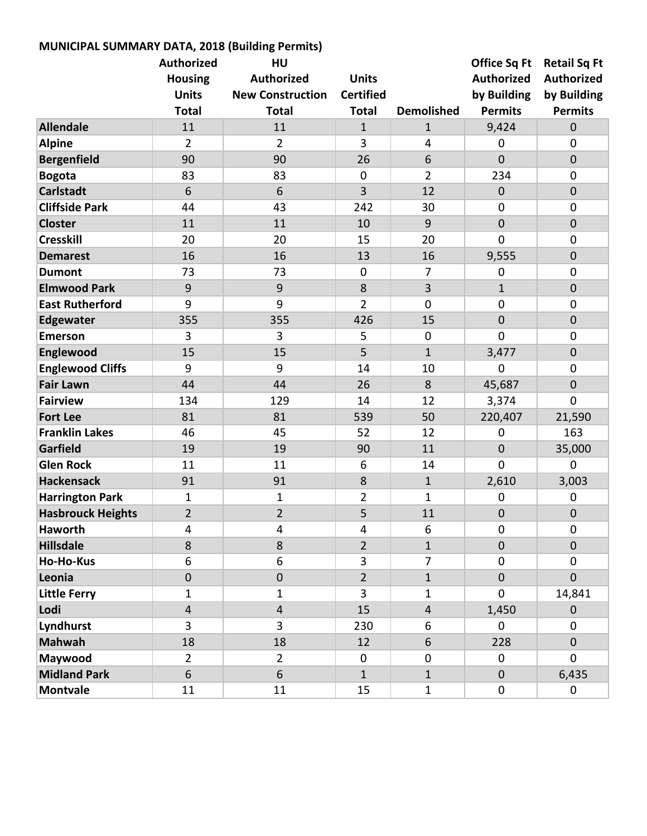| MUNICIPAL SUMMARY DATA, 2018 (Building Permits) |                         |                         |                  |                   |                     |                     |  |  |  |  |
|-------------------------------------------------|-------------------------|-------------------------|------------------|-------------------|---------------------|---------------------|--|--|--|--|
|                                                 | <b>Authorized</b>       | HU                      |                  |                   | <b>Office Sq Ft</b> | <b>Retail Sq Ft</b> |  |  |  |  |
|                                                 | <b>Housing</b>          | <b>Authorized</b>       | <b>Units</b>     |                   | <b>Authorized</b>   | <b>Authorized</b>   |  |  |  |  |
|                                                 | <b>Units</b>            | <b>New Construction</b> | <b>Certified</b> |                   | by Building         | by Building         |  |  |  |  |
|                                                 | <b>Total</b>            | <b>Total</b>            | <b>Total</b>     | <b>Demolished</b> | <b>Permits</b>      | <b>Permits</b>      |  |  |  |  |
| <b>Allendale</b>                                | 11                      | 11                      | $\mathbf{1}$     | $\mathbf{1}$      | 9,424               | $\mathbf 0$         |  |  |  |  |
| <b>Alpine</b>                                   | $\overline{2}$          | $\overline{2}$          | 3                | 4                 | $\mathbf 0$         | $\mathbf 0$         |  |  |  |  |
| <b>Bergenfield</b>                              | 90                      | 90                      | 26               | 6                 | $\overline{0}$      | $\mathbf 0$         |  |  |  |  |
| <b>Bogota</b>                                   | 83                      | 83                      | $\mathbf 0$      | $\overline{2}$    | 234                 | $\mathbf 0$         |  |  |  |  |
| <b>Carlstadt</b>                                | 6                       | 6                       | 3                | 12                | $\boldsymbol{0}$    | $\mathbf 0$         |  |  |  |  |
| <b>Cliffside Park</b>                           | 44                      | 43                      | 242              | 30                | $\mathbf 0$         | $\mathbf 0$         |  |  |  |  |
| <b>Closter</b>                                  | 11                      | 11                      | 10               | 9                 | $\mathbf 0$         | $\mathbf 0$         |  |  |  |  |
| <b>Cresskill</b>                                | 20                      | 20                      | 15               | 20                | $\mathbf 0$         | $\mathbf 0$         |  |  |  |  |
| <b>Demarest</b>                                 | 16                      | 16                      | 13               | 16                | 9,555               | $\mathbf 0$         |  |  |  |  |
| <b>Dumont</b>                                   | 73                      | 73                      | $\mathbf 0$      | $\overline{7}$    | $\mathbf 0$         | $\mathbf 0$         |  |  |  |  |
| <b>Elmwood Park</b>                             | $9\,$                   | $9$                     | 8                | 3                 | $\mathbf{1}$        | $\mathbf 0$         |  |  |  |  |
| <b>East Rutherford</b>                          | 9                       | 9                       | $\overline{2}$   | $\mathbf 0$       | $\mathbf 0$         | $\mathbf 0$         |  |  |  |  |
| Edgewater                                       | 355                     | 355                     | 426              | 15                | $\mathbf 0$         | $\mathbf 0$         |  |  |  |  |
| <b>Emerson</b>                                  | 3                       | 3                       | 5                | $\mathbf 0$       | $\overline{0}$      | $\mathbf 0$         |  |  |  |  |
| Englewood                                       | 15                      | 15                      | 5                | $\mathbf{1}$      | 3,477               | $\mathbf 0$         |  |  |  |  |
| <b>Englewood Cliffs</b>                         | 9                       | 9                       | 14               | 10                | $\mathbf 0$         | $\mathbf 0$         |  |  |  |  |
| <b>Fair Lawn</b>                                | 44                      | 44                      | 26               | 8                 | 45,687              | $\mathbf 0$         |  |  |  |  |
| <b>Fairview</b>                                 | 134                     | 129                     | 14               | 12                | 3,374               | $\mathbf 0$         |  |  |  |  |
| <b>Fort Lee</b>                                 | 81                      | 81                      | 539              | 50                | 220,407             | 21,590              |  |  |  |  |
| <b>Franklin Lakes</b>                           | 46                      | 45                      | 52               | 12                | $\mathbf 0$         | 163                 |  |  |  |  |
| <b>Garfield</b>                                 | 19                      | 19                      | 90               | 11                | $\mathbf 0$         | 35,000              |  |  |  |  |
| <b>Glen Rock</b>                                | 11                      | 11                      | 6                | 14                | $\Omega$            | $\mathbf 0$         |  |  |  |  |
| <b>Hackensack</b>                               | 91                      | 91                      | 8                | $\mathbf{1}$      | 2,610               | 3,003               |  |  |  |  |
| <b>Harrington Park</b>                          | 1                       | 1                       | 2                | $\mathbf{1}$      | $\mathbf 0$         | $\mathbf 0$         |  |  |  |  |
| <b>Hasbrouck Heights</b>                        | $\overline{2}$          | $\overline{c}$          | 5                | 11                | $\pmb{0}$           | $\pmb{0}$           |  |  |  |  |
| <b>Haworth</b>                                  | 4                       | 4                       | 4                | 6                 | $\mathbf 0$         | 0                   |  |  |  |  |
| <b>Hillsdale</b>                                | 8                       | 8                       | $\overline{2}$   | $\mathbf{1}$      | $\mathbf 0$         | $\mathbf 0$         |  |  |  |  |
| <b>Ho-Ho-Kus</b>                                | 6                       | 6                       | 3                | $\overline{7}$    | $\mathbf 0$         | $\mathbf 0$         |  |  |  |  |
| Leonia                                          | $\mathbf 0$             | $\pmb{0}$               | $\overline{2}$   | $\mathbf{1}$      | $\mathbf 0$         | $\mathbf 0$         |  |  |  |  |
| <b>Little Ferry</b>                             | 1                       | 1                       | 3                | 1                 | $\mathbf 0$         | 14,841              |  |  |  |  |
| Lodi                                            | $\overline{\mathbf{4}}$ | $\overline{4}$          | 15               | $\overline{4}$    | 1,450               | $\mathbf 0$         |  |  |  |  |
| Lyndhurst                                       | 3                       | 3                       | 230              | 6                 | $\mathbf 0$         | $\mathbf 0$         |  |  |  |  |
| <b>Mahwah</b>                                   | 18                      | 18                      | 12               | 6                 | 228                 | $\pmb{0}$           |  |  |  |  |
| Maywood                                         | $\overline{2}$          | $\overline{2}$          | $\mathbf 0$      | $\mathbf 0$       | $\mathbf 0$         | $\mathbf 0$         |  |  |  |  |
| <b>Midland Park</b>                             | 6                       | 6                       | $\mathbf{1}$     | $\mathbf{1}$      | $\mathbf{0}$        | 6,435               |  |  |  |  |
| <b>Montvale</b>                                 | 11                      | 11                      | 15               | $\mathbf{1}$      | $\mathbf 0$         | 0                   |  |  |  |  |